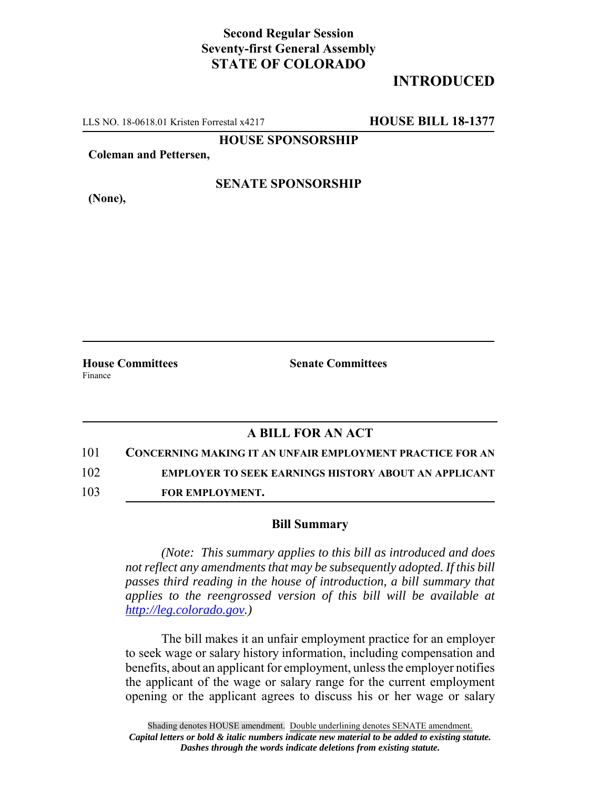# **Second Regular Session Seventy-first General Assembly STATE OF COLORADO**

# **INTRODUCED**

LLS NO. 18-0618.01 Kristen Forrestal x4217 **HOUSE BILL 18-1377**

**HOUSE SPONSORSHIP**

**Coleman and Pettersen,**

### **SENATE SPONSORSHIP**

**(None),**

Finance

**House Committees Senate Committees** 

## **A BILL FOR AN ACT**

101 **CONCERNING MAKING IT AN UNFAIR EMPLOYMENT PRACTICE FOR AN**

102 **EMPLOYER TO SEEK EARNINGS HISTORY ABOUT AN APPLICANT**

103 **FOR EMPLOYMENT.**

#### **Bill Summary**

*(Note: This summary applies to this bill as introduced and does not reflect any amendments that may be subsequently adopted. If this bill passes third reading in the house of introduction, a bill summary that applies to the reengrossed version of this bill will be available at http://leg.colorado.gov.)*

The bill makes it an unfair employment practice for an employer to seek wage or salary history information, including compensation and benefits, about an applicant for employment, unless the employer notifies the applicant of the wage or salary range for the current employment opening or the applicant agrees to discuss his or her wage or salary